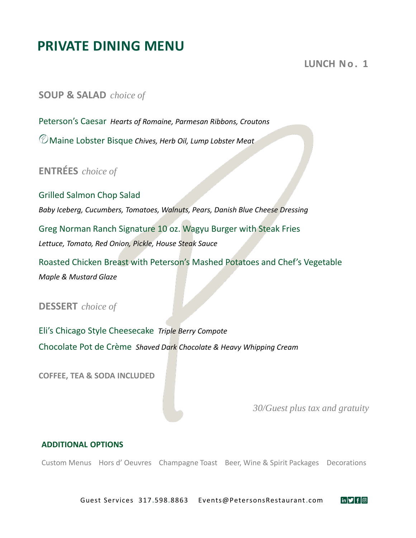# **PRIVATE DINING MENU**

### **LUNCH No. 1**

**SOUP & SALAD** *choice of*

Peterson's Caesar *Hearts of Romaine, Parmesan Ribbons, Croutons*

Maine Lobster Bisque *Chives, Herb Oil, Lump Lobster Meat*

**ENTRÉES** *choice of*

Grilled Salmon Chop Salad *Baby Iceberg, Cucumbers, Tomatoes, Walnuts, Pears, Danish Blue Cheese Dressing* Greg Norman Ranch Signature 10 oz. Wagyu Burger with Steak Fries *Lettuce, Tomato, Red Onion, Pickle, House Steak Sauce*

Roasted Chicken Breast with Peterson's Mashed Potatoes and Chef's Vegetable *Maple & Mustard Glaze* 

### **DESSERT** *choice of*

Eli's Chicago Style Cheesecake *Triple Berry Compote* Chocolate Pot de Crème *Shaved Dark Chocolate & Heavy Whipping Cream*

**COFFEE, TEA & SODA INCLUDED**

*30/Guest plus tax and gratuity*

 $\overline{\mathbf{in}|\mathbf{y}|}$  f  $\boxed{\odot}$ 

#### **ADDITIONAL OPTIONS**

Custom Menus Hors d' Oeuvres Champagne Toast Beer, Wine & Spirit Packages Decorations

Guest Services 317.598.8863 Events@PetersonsRestaurant.com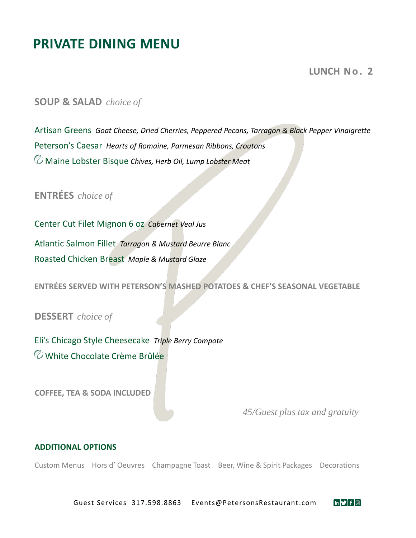# **PRIVATE DINING MENU**

**LUNCH No. 2** 

**SOUP & SALAD** *choice of*

Artisan Greens *Goat Cheese, Dried Cherries, Peppered Pecans, Tarragon & Black Pepper Vinaigrette* Peterson's Caesar *Hearts of Romaine, Parmesan Ribbons, Croutons* Maine Lobster Bisque *Chives, Herb Oil, Lump Lobster Meat*

**ENTRÉES** *choice of*

Center Cut Filet Mignon 6 oz *Cabernet Veal Jus* Atlantic Salmon Fillet *Tarragon & Mustard Beurre Blanc* Roasted Chicken Breast *Maple & Mustard Glaze*

**ENTRÉES SERVED WITH PETERSON'S MASHED POTATOES & CHEF'S SEASONAL VEGETABLE**

**DESSERT** *choice of*

Eli's Chicago Style Cheesecake *Triple Berry Compote* White Chocolate Crème Brûlée

**COFFEE, TEA & SODA INCLUDED**

*45/Guest plus tax and gratuity*

#### **ADDITIONAL OPTIONS**

Custom Menus Hors d' Oeuvres Champagne Toast Beer, Wine & Spirit Packages Decorations

Guest Services 317.598.8863 Events@PetersonsRestaurant.com